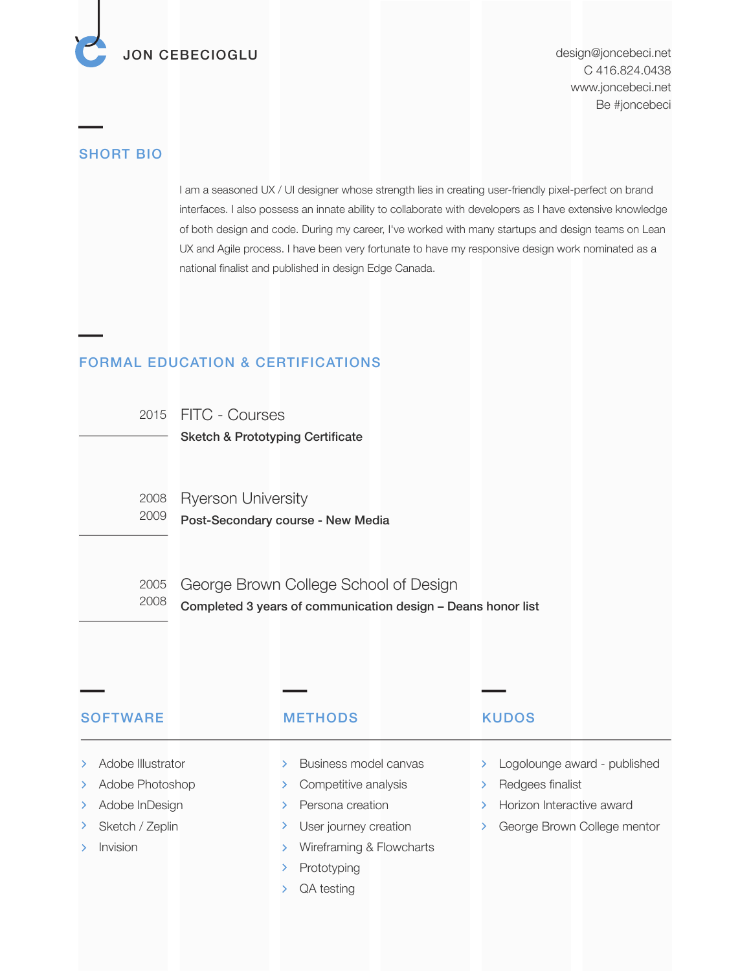

C 416.824.0438 www.joncebeci.net Be #joncebeci

## SHORT BIO

I am a seasoned UX / UI designer whose strength lies in creating user-friendly pixel-perfect on brand interfaces. I also possess an innate ability to collaborate with developers as I have extensive knowledge of both design and code. During my career, I've worked with many startups and design teams on Lean UX and Agile process. I have been very fortunate to have my responsive design work nominated as a national finalist and published in design Edge Canada.

## FORMAL EDUCATION & CERTIFICATIONS

| 2015                                                                                                            | <b>FITC - Courses</b><br><b>Sketch &amp; Prototyping Certificate</b> |                                                                                                                                                                                                       |                                                                                                                                  |
|-----------------------------------------------------------------------------------------------------------------|----------------------------------------------------------------------|-------------------------------------------------------------------------------------------------------------------------------------------------------------------------------------------------------|----------------------------------------------------------------------------------------------------------------------------------|
| 2008<br>2009                                                                                                    | <b>Ryerson University</b>                                            | Post-Secondary course - New Media                                                                                                                                                                     |                                                                                                                                  |
| 2005<br>2008                                                                                                    |                                                                      | George Brown College School of Design<br>Completed 3 years of communication design - Deans honor list                                                                                                 |                                                                                                                                  |
| <b>SOFTWARE</b>                                                                                                 |                                                                      | <b>METHODS</b>                                                                                                                                                                                        | <b>KUDOS</b>                                                                                                                     |
| Adobe Illustrator<br>×,<br>Adobe Photoshop<br>≻<br>Adobe InDesign<br>≻<br>Sketch / Zeplin<br>≻<br>Invision<br>У |                                                                      | Business model canvas<br>$\sum_{i=1}^{n}$<br>Competitive analysis<br>≻<br>Persona creation<br>≻<br>User journey creation<br>⋗<br>Wireframing & Flowcharts<br>≻<br>Prototyping<br>⋗<br>QA testing<br>≻ | Logolounge award - published<br>≻<br>Redgees finalist<br>≻<br>Horizon Interactive award<br>≻<br>George Brown College mentor<br>⋗ |